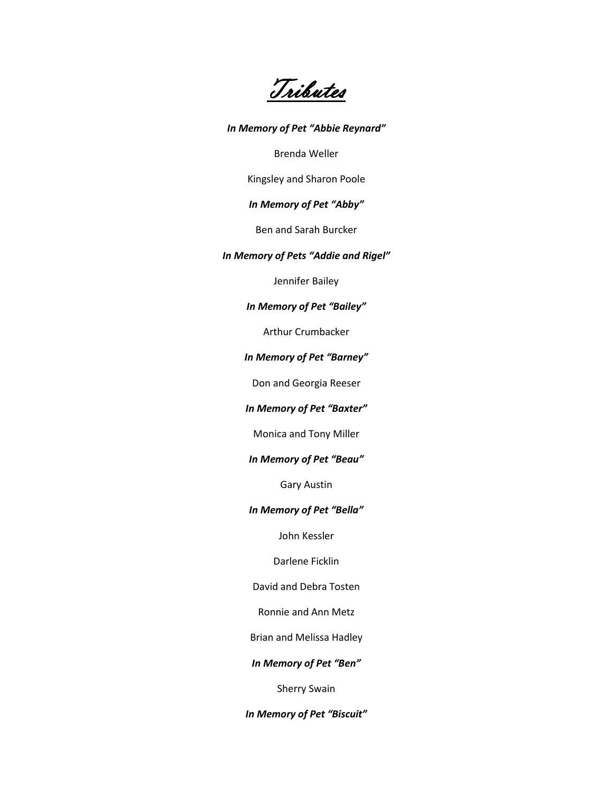Tributes

*In Memory of Pet "Abbie Reynard"* Brenda Weller Kingsley and Sharon Poole *In Memory of Pet "Abby"* Ben and Sarah Burcker *In Memory of Pets "Addie and Rigel"* Jennifer Bailey *In Memory of Pet "Bailey"* Arthur Crumbacker *In Memory of Pet "Barney"* Don and Georgia Reeser *In Memory of Pet "Baxter"* Monica and Tony Miller *In Memory of Pet "Beau"* Gary Austin *In Memory of Pet "Bella"* John Kessler Darlene Ficklin David and Debra Tosten Ronnie and Ann Metz Brian and Melissa Hadley *In Memory of Pet "Ben"*

Sherry Swain

*In Memory of Pet "Biscuit"*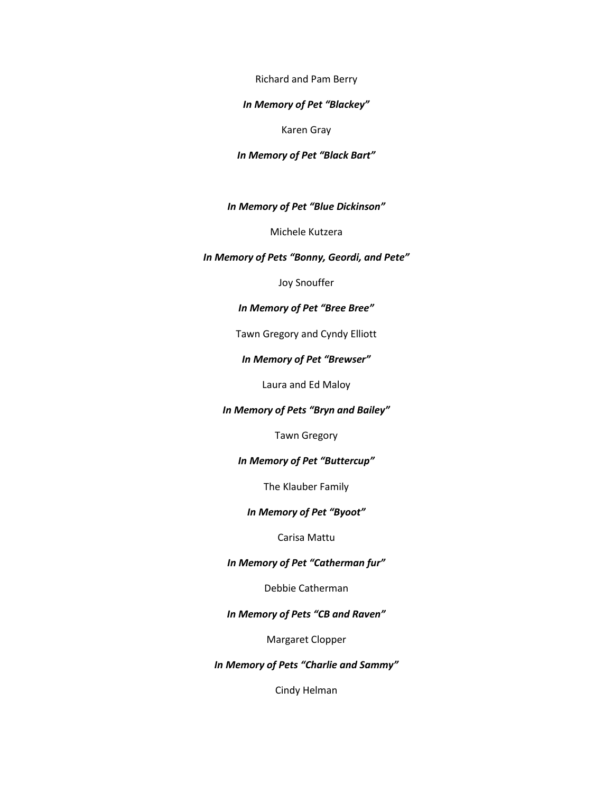Richard and Pam Berry

## *In Memory of Pet "Blackey"*

Karen Gray

## *In Memory of Pet "Black Bart"*

*In Memory of Pet "Blue Dickinson"*

Michele Kutzera

## *In Memory of Pets "Bonny, Geordi, and Pete"*

Joy Snouffer

## *In Memory of Pet "Bree Bree"*

Tawn Gregory and Cyndy Elliott

## *In Memory of Pet "Brewser"*

Laura and Ed Maloy

## *In Memory of Pets "Bryn and Bailey"*

Tawn Gregory

## *In Memory of Pet "Buttercup"*

The Klauber Family

## *In Memory of Pet "Byoot"*

## Carisa Mattu

## *In Memory of Pet "Catherman fur"*

Debbie Catherman

## *In Memory of Pets "CB and Raven"*

Margaret Clopper

## *In Memory of Pets "Charlie and Sammy"*

Cindy Helman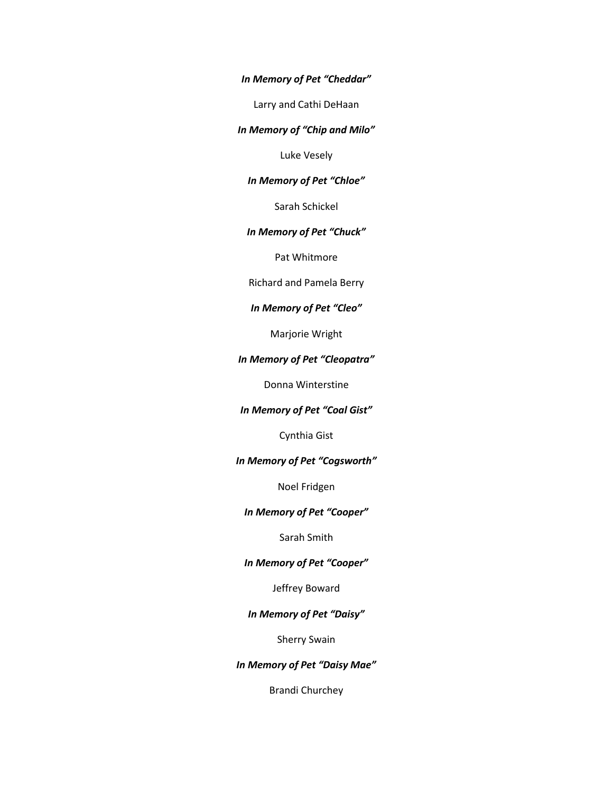*In Memory of Pet "Cheddar"*

Larry and Cathi DeHaan

*In Memory of "Chip and Milo"*

Luke Vesely

## *In Memory of Pet "Chloe"*

Sarah Schickel

## *In Memory of Pet "Chuck"*

Pat Whitmore

Richard and Pamela Berry

## *In Memory of Pet "Cleo"*

Marjorie Wright

## *In Memory of Pet "Cleopatra"*

Donna Winterstine

## *In Memory of Pet "Coal Gist"*

Cynthia Gist

## *In Memory of Pet "Cogsworth"*

Noel Fridgen

## *In Memory of Pet "Cooper"*

Sarah Smith

## *In Memory of Pet "Cooper"*

Jeffrey Boward

## *In Memory of Pet "Daisy"*

Sherry Swain

*In Memory of Pet "Daisy Mae"*

Brandi Churchey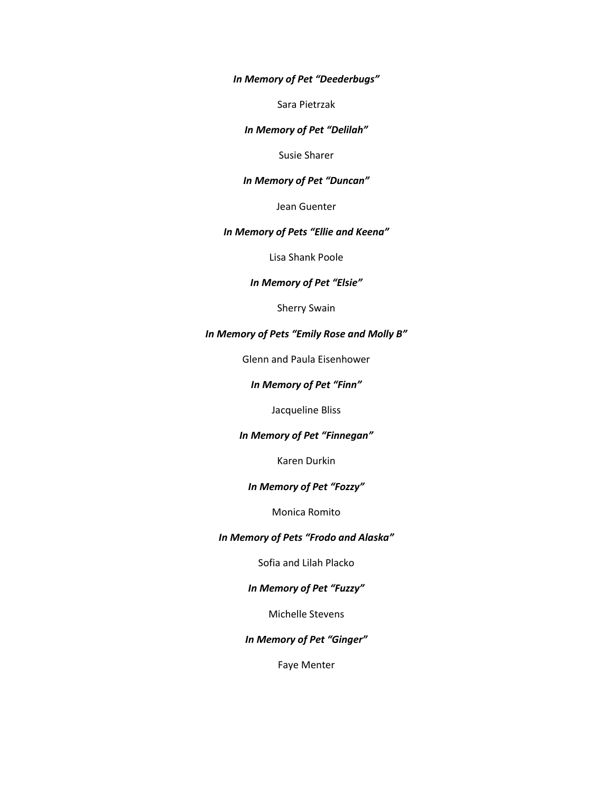*In Memory of Pet "Deederbugs"*

Sara Pietrzak

## *In Memory of Pet "Delilah"*

Susie Sharer

## *In Memory of Pet "Duncan"*

Jean Guenter

## *In Memory of Pets "Ellie and Keena"*

Lisa Shank Poole

## *In Memory of Pet "Elsie"*

Sherry Swain

# *In Memory of Pets "Emily Rose and Molly B"*

Glenn and Paula Eisenhower

### *In Memory of Pet "Finn"*

Jacqueline Bliss

## *In Memory of Pet "Finnegan"*

Karen Durkin

## *In Memory of Pet "Fozzy"*

Monica Romito

#### *In Memory of Pets "Frodo and Alaska"*

Sofia and Lilah Placko

## *In Memory of Pet "Fuzzy"*

Michelle Stevens

## *In Memory of Pet "Ginger"*

Faye Menter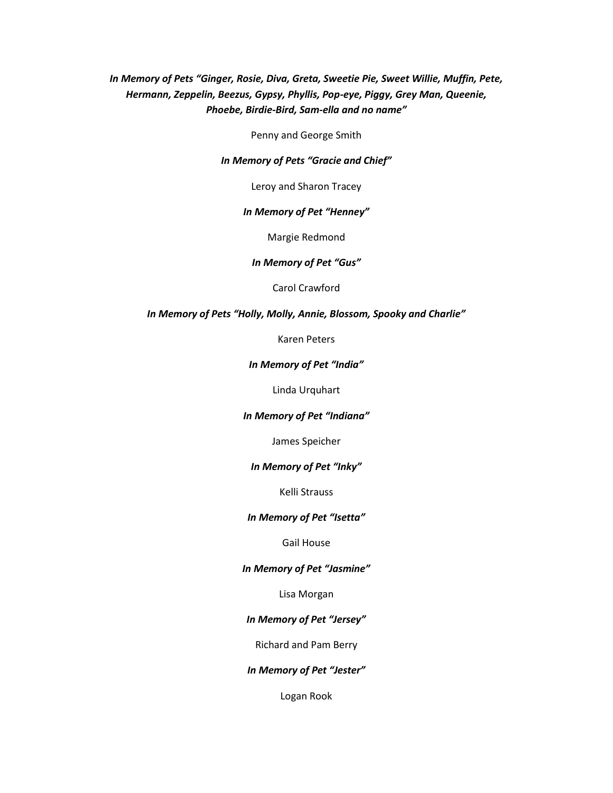# *In Memory of Pets "Ginger, Rosie, Diva, Greta, Sweetie Pie, Sweet Willie, Muffin, Pete, Hermann, Zeppelin, Beezus, Gypsy, Phyllis, Pop-eye, Piggy, Grey Man, Queenie, Phoebe, Birdie-Bird, Sam-ella and no name"*

Penny and George Smith

#### *In Memory of Pets "Gracie and Chief"*

Leroy and Sharon Tracey

#### *In Memory of Pet "Henney"*

Margie Redmond

#### *In Memory of Pet "Gus"*

Carol Crawford

## *In Memory of Pets "Holly, Molly, Annie, Blossom, Spooky and Charlie"*

Karen Peters

## *In Memory of Pet "India"*

Linda Urquhart

#### *In Memory of Pet "Indiana"*

James Speicher

#### *In Memory of Pet "Inky"*

Kelli Strauss

### *In Memory of Pet "Isetta"*

Gail House

#### *In Memory of Pet "Jasmine"*

Lisa Morgan

## *In Memory of Pet "Jersey"*

Richard and Pam Berry

#### *In Memory of Pet "Jester"*

Logan Rook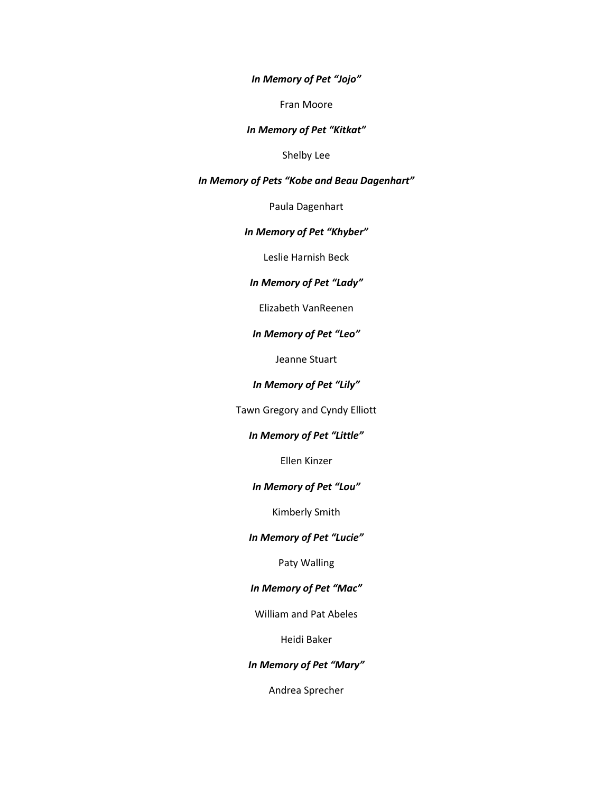*In Memory of Pet "Jojo"*

Fran Moore

*In Memory of Pet "Kitkat"*

Shelby Lee

*In Memory of Pets "Kobe and Beau Dagenhart"*

Paula Dagenhart

## *In Memory of Pet "Khyber"*

Leslie Harnish Beck

## *In Memory of Pet "Lady"*

Elizabeth VanReenen

### *In Memory of Pet "Leo"*

Jeanne Stuart

## *In Memory of Pet "Lily"*

Tawn Gregory and Cyndy Elliott

## *In Memory of Pet "Little"*

Ellen Kinzer

#### *In Memory of Pet "Lou"*

Kimberly Smith

## *In Memory of Pet "Lucie"*

Paty Walling

## *In Memory of Pet "Mac"*

William and Pat Abeles

Heidi Baker

## *In Memory of Pet "Mary"*

Andrea Sprecher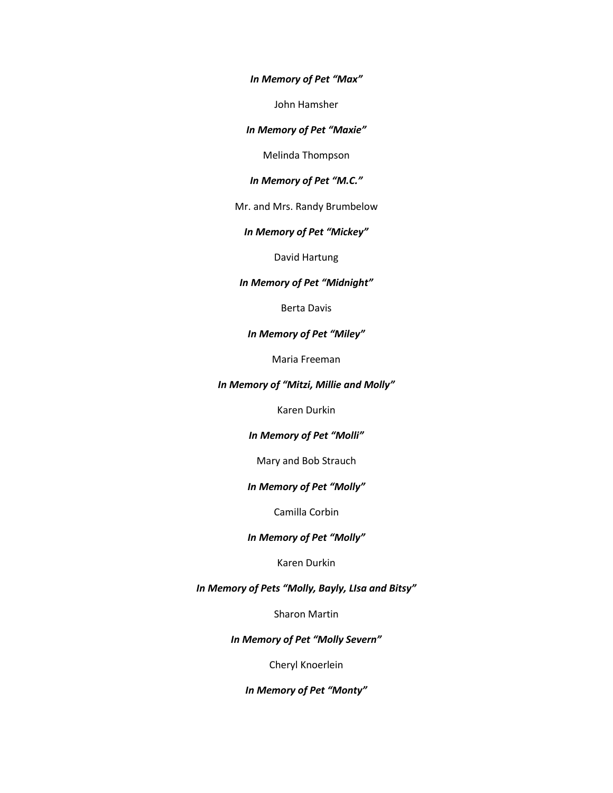*In Memory of Pet "Max"*

John Hamsher

#### *In Memory of Pet "Maxie"*

Melinda Thompson

## *In Memory of Pet "M.C."*

Mr. and Mrs. Randy Brumbelow

## *In Memory of Pet "Mickey"*

David Hartung

## *In Memory of Pet "Midnight"*

Berta Davis

#### *In Memory of Pet "Miley"*

Maria Freeman

#### *In Memory of "Mitzi, Millie and Molly"*

Karen Durkin

## *In Memory of Pet "Molli"*

Mary and Bob Strauch

## *In Memory of Pet "Molly"*

Camilla Corbin

#### *In Memory of Pet "Molly"*

## Karen Durkin

## *In Memory of Pets "Molly, Bayly, LIsa and Bitsy"*

Sharon Martin

## *In Memory of Pet "Molly Severn"*

Cheryl Knoerlein

*In Memory of Pet "Monty"*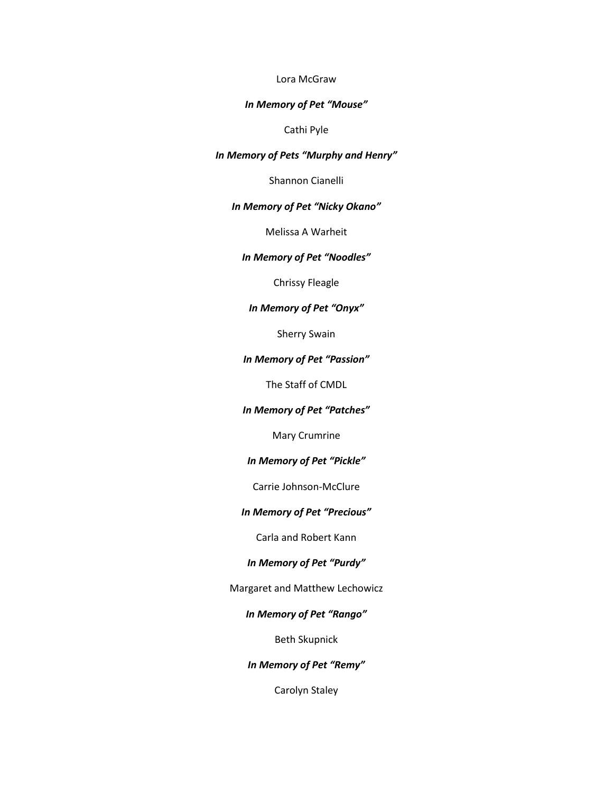## Lora McGraw

#### *In Memory of Pet "Mouse"*

## Cathi Pyle

## *In Memory of Pets "Murphy and Henry"*

Shannon Cianelli

### *In Memory of Pet "Nicky Okano"*

Melissa A Warheit

## *In Memory of Pet "Noodles"*

Chrissy Fleagle

## *In Memory of Pet "Onyx"*

Sherry Swain

## *In Memory of Pet "Passion"*

The Staff of CMDL

## *In Memory of Pet "Patches"*

Mary Crumrine

## *In Memory of Pet "Pickle"*

Carrie Johnson-McClure

## *In Memory of Pet "Precious"*

Carla and Robert Kann

## *In Memory of Pet "Purdy"*

Margaret and Matthew Lechowicz

## *In Memory of Pet "Rango"*

Beth Skupnick

*In Memory of Pet "Remy"*

Carolyn Staley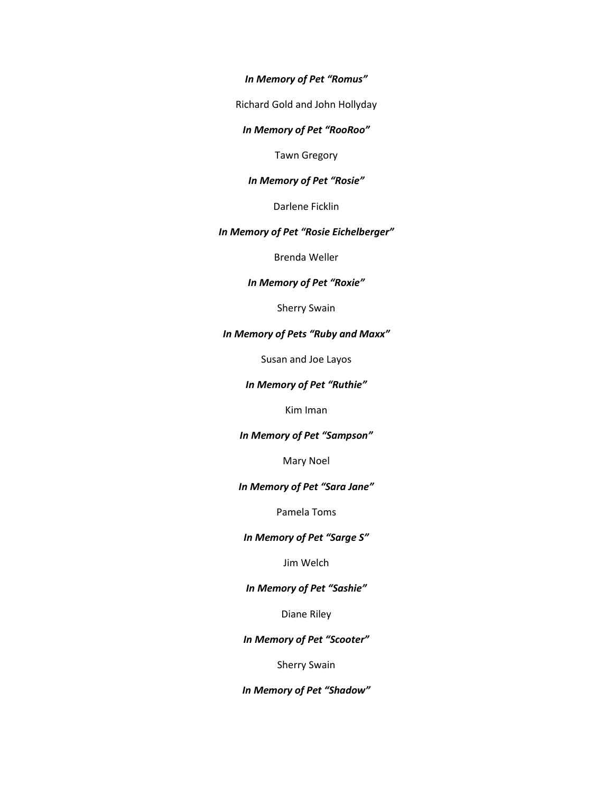*In Memory of Pet "Romus"*

Richard Gold and John Hollyday

#### *In Memory of Pet "RooRoo"*

Tawn Gregory

## *In Memory of Pet "Rosie"*

Darlene Ficklin

## *In Memory of Pet "Rosie Eichelberger"*

Brenda Weller

## *In Memory of Pet "Roxie"*

Sherry Swain

## *In Memory of Pets "Ruby and Maxx"*

Susan and Joe Layos

## *In Memory of Pet "Ruthie"*

Kim Iman

## *In Memory of Pet "Sampson"*

Mary Noel

## *In Memory of Pet "Sara Jane"*

Pamela Toms

## *In Memory of Pet "Sarge S"*

Jim Welch

## *In Memory of Pet "Sashie"*

Diane Riley

## *In Memory of Pet "Scooter"*

Sherry Swain

## *In Memory of Pet "Shadow"*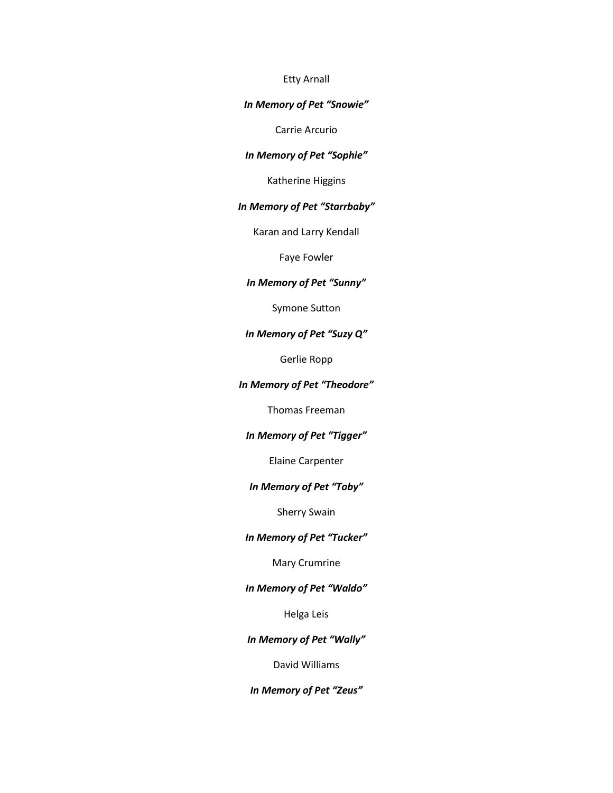#### Etty Arnall

## *In Memory of Pet "Snowie"*

Carrie Arcurio

## *In Memory of Pet "Sophie"*

Katherine Higgins

## *In Memory of Pet "Starrbaby"*

Karan and Larry Kendall

Faye Fowler

# *In Memory of Pet "Sunny"*

Symone Sutton

## *In Memory of Pet "Suzy Q"*

Gerlie Ropp

### *In Memory of Pet "Theodore"*

Thomas Freeman

## *In Memory of Pet "Tigger"*

Elaine Carpenter

#### *In Memory of Pet "Toby"*

Sherry Swain

## *In Memory of Pet "Tucker"*

Mary Crumrine

## *In Memory of Pet "Waldo"*

Helga Leis

## *In Memory of Pet "Wally"*

David Williams

## *In Memory of Pet "Zeus"*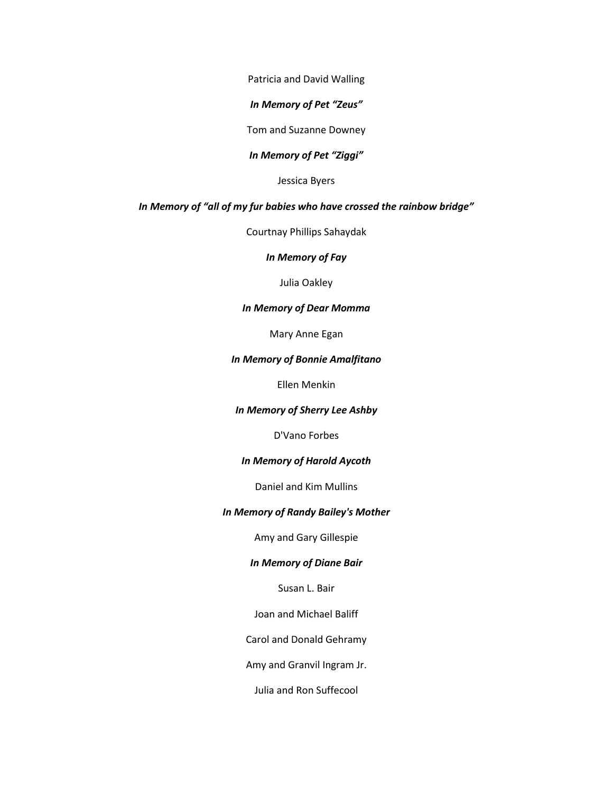Patricia and David Walling

*In Memory of Pet "Zeus"*

Tom and Suzanne Downey

## *In Memory of Pet "Ziggi"*

Jessica Byers

### *In Memory of "all of my fur babies who have crossed the rainbow bridge"*

Courtnay Phillips Sahaydak

*In Memory of Fay*

Julia Oakley

## *In Memory of Dear Momma*

Mary Anne Egan

#### *In Memory of Bonnie Amalfitano*

Ellen Menkin

### *In Memory of Sherry Lee Ashby*

D'Vano Forbes

## *In Memory of Harold Aycoth*

Daniel and Kim Mullins

## *In Memory of Randy Bailey's Mother*

Amy and Gary Gillespie

## *In Memory of Diane Bair*

Susan L. Bair

Joan and Michael Baliff

Carol and Donald Gehramy

Amy and Granvil Ingram Jr.

Julia and Ron Suffecool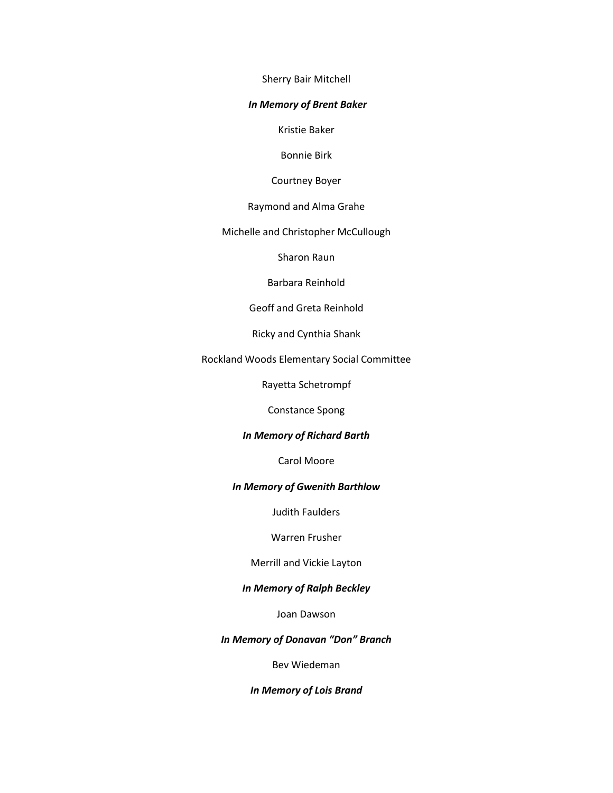Sherry Bair Mitchell

### *In Memory of Brent Baker*

Kristie Baker

Bonnie Birk

Courtney Boyer

Raymond and Alma Grahe

Michelle and Christopher McCullough

Sharon Raun

Barbara Reinhold

Geoff and Greta Reinhold

Ricky and Cynthia Shank

Rockland Woods Elementary Social Committee

Rayetta Schetrompf

Constance Spong

#### *In Memory of Richard Barth*

Carol Moore

## *In Memory of Gwenith Barthlow*

Judith Faulders

Warren Frusher

Merrill and Vickie Layton

## *In Memory of Ralph Beckley*

Joan Dawson

## *In Memory of Donavan "Don" Branch*

Bev Wiedeman

*In Memory of Lois Brand*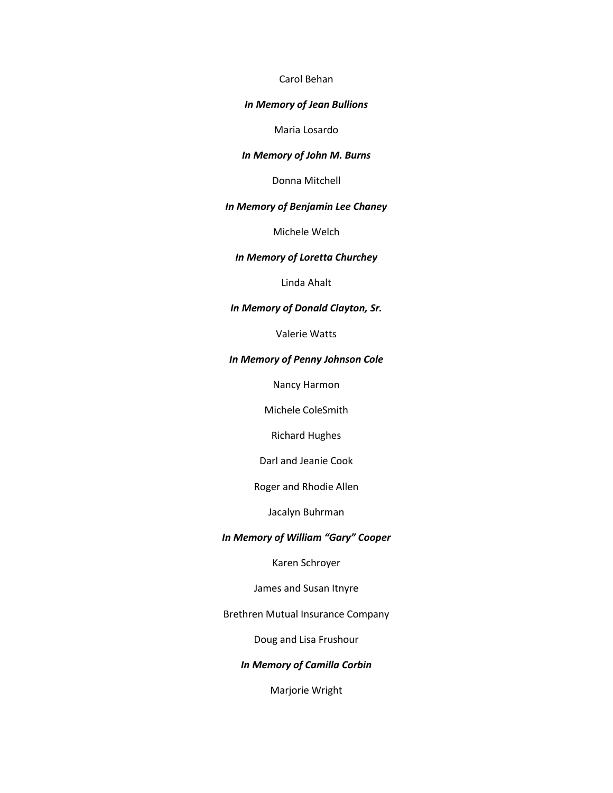## Carol Behan

## *In Memory of Jean Bullions*

Maria Losardo

## *In Memory of John M. Burns*

Donna Mitchell

## *In Memory of Benjamin Lee Chaney*

Michele Welch

## *In Memory of Loretta Churchey*

Linda Ahalt

## *In Memory of Donald Clayton, Sr.*

Valerie Watts

#### *In Memory of Penny Johnson Cole*

Nancy Harmon

Michele ColeSmith

Richard Hughes

Darl and Jeanie Cook

Roger and Rhodie Allen

Jacalyn Buhrman

## *In Memory of William "Gary" Cooper*

Karen Schroyer

James and Susan Itnyre

Brethren Mutual Insurance Company

Doug and Lisa Frushour

*In Memory of Camilla Corbin*

Marjorie Wright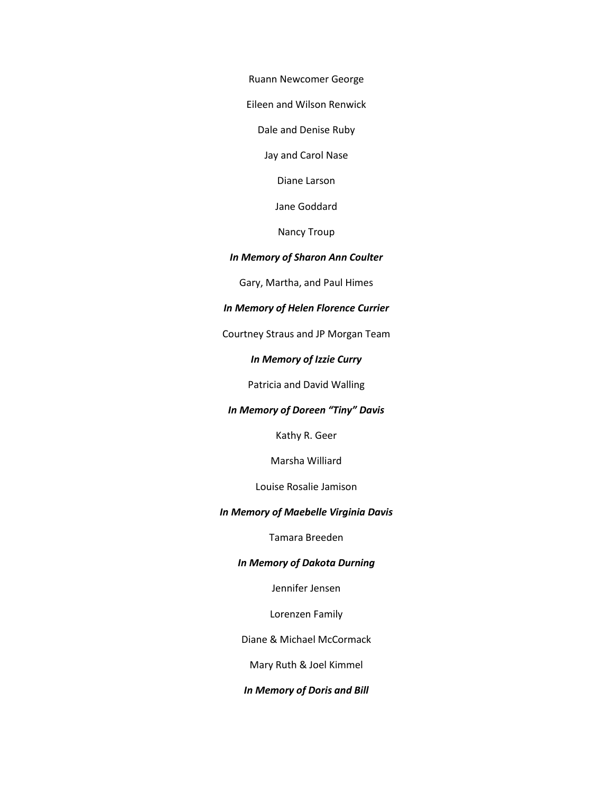Ruann Newcomer George

Eileen and Wilson Renwick

Dale and Denise Ruby

Jay and Carol Nase

Diane Larson

Jane Goddard

Nancy Troup

## *In Memory of Sharon Ann Coulter*

Gary, Martha, and Paul Himes

## *In Memory of Helen Florence Currier*

Courtney Straus and JP Morgan Team

## *In Memory of Izzie Curry*

Patricia and David Walling

## *In Memory of Doreen "Tiny" Davis*

Kathy R. Geer

Marsha Williard

Louise Rosalie Jamison

## *In Memory of Maebelle Virginia Davis*

Tamara Breeden

## *In Memory of Dakota Durning*

Jennifer Jensen

Lorenzen Family

Diane & Michael McCormack

Mary Ruth & Joel Kimmel

## *In Memory of Doris and Bill*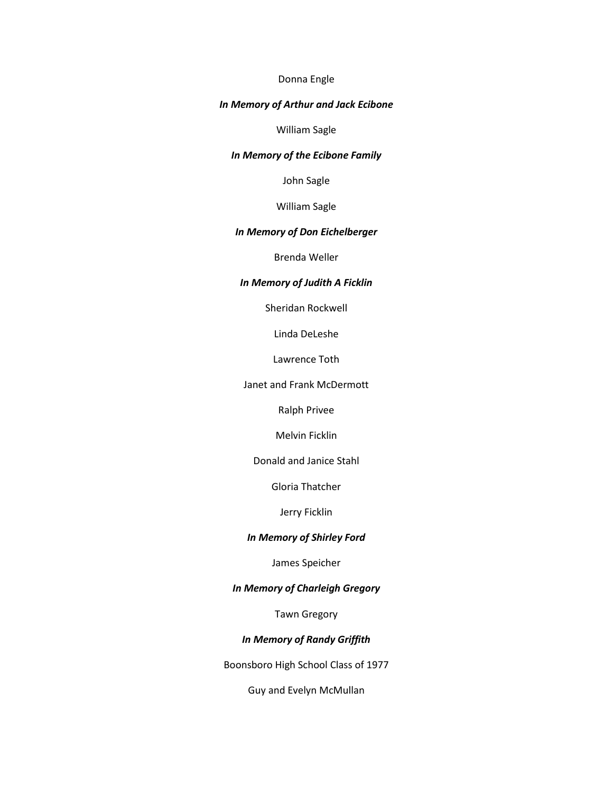## Donna Engle

## *In Memory of Arthur and Jack Ecibone*

William Sagle

## *In Memory of the Ecibone Family*

John Sagle

William Sagle

## *In Memory of Don Eichelberger*

Brenda Weller

## *In Memory of Judith A Ficklin*

Sheridan Rockwell

Linda DeLeshe

Lawrence Toth

Janet and Frank McDermott

Ralph Privee

Melvin Ficklin

Donald and Janice Stahl

Gloria Thatcher

Jerry Ficklin

## *In Memory of Shirley Ford*

James Speicher

## *In Memory of Charleigh Gregory*

Tawn Gregory

## *In Memory of Randy Griffith*

Boonsboro High School Class of 1977

Guy and Evelyn McMullan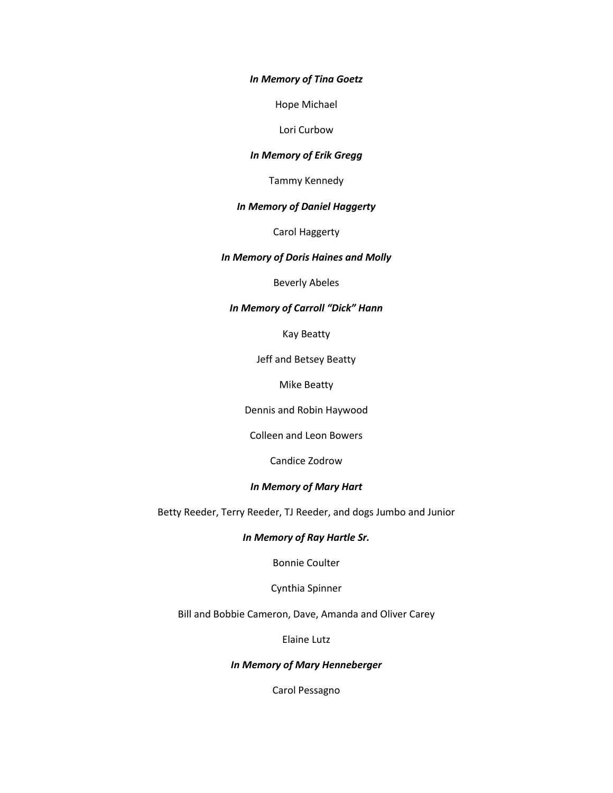### *In Memory of Tina Goetz*

Hope Michael

Lori Curbow

### *In Memory of Erik Gregg*

Tammy Kennedy

## *In Memory of Daniel Haggerty*

Carol Haggerty

## *In Memory of Doris Haines and Molly*

Beverly Abeles

## *In Memory of Carroll "Dick" Hann*

Kay Beatty

Jeff and Betsey Beatty

Mike Beatty

Dennis and Robin Haywood

Colleen and Leon Bowers

Candice Zodrow

## *In Memory of Mary Hart*

Betty Reeder, Terry Reeder, TJ Reeder, and dogs Jumbo and Junior

## *In Memory of Ray Hartle Sr.*

Bonnie Coulter

Cynthia Spinner

Bill and Bobbie Cameron, Dave, Amanda and Oliver Carey

Elaine Lutz

## *In Memory of Mary Henneberger*

Carol Pessagno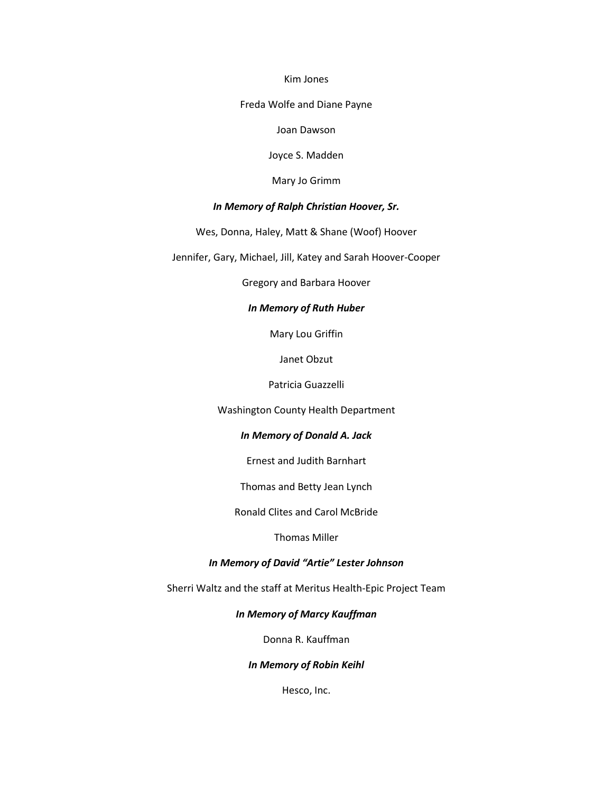#### Kim Jones

### Freda Wolfe and Diane Payne

Joan Dawson

Joyce S. Madden

Mary Jo Grimm

### *In Memory of Ralph Christian Hoover, Sr.*

Wes, Donna, Haley, Matt & Shane (Woof) Hoover

Jennifer, Gary, Michael, Jill, Katey and Sarah Hoover-Cooper

Gregory and Barbara Hoover

## *In Memory of Ruth Huber*

Mary Lou Griffin

Janet Obzut

Patricia Guazzelli

Washington County Health Department

### *In Memory of Donald A. Jack*

Ernest and Judith Barnhart

Thomas and Betty Jean Lynch

Ronald Clites and Carol McBride

Thomas Miller

## *In Memory of David "Artie" Lester Johnson*

Sherri Waltz and the staff at Meritus Health-Epic Project Team

## *In Memory of Marcy Kauffman*

Donna R. Kauffman

### *In Memory of Robin Keihl*

Hesco, Inc.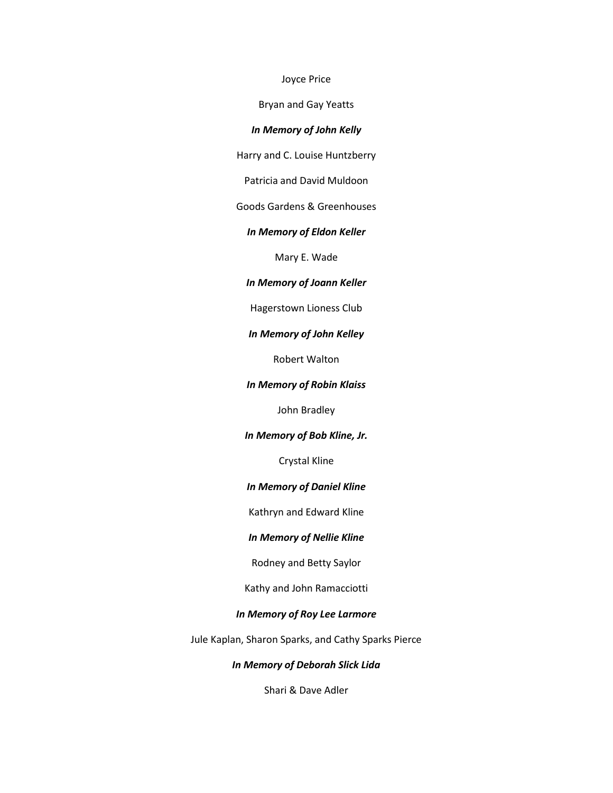#### Joyce Price

Bryan and Gay Yeatts

## *In Memory of John Kelly*

Harry and C. Louise Huntzberry

Patricia and David Muldoon

Goods Gardens & Greenhouses

### *In Memory of Eldon Keller*

Mary E. Wade

## *In Memory of Joann Keller*

Hagerstown Lioness Club

#### *In Memory of John Kelley*

Robert Walton

#### *In Memory of Robin Klaiss*

John Bradley

### *In Memory of Bob Kline, Jr.*

Crystal Kline

## *In Memory of Daniel Kline*

Kathryn and Edward Kline

#### *In Memory of Nellie Kline*

Rodney and Betty Saylor

Kathy and John Ramacciotti

## *In Memory of Roy Lee Larmore*

Jule Kaplan, Sharon Sparks, and Cathy Sparks Pierce

## *In Memory of Deborah Slick Lida*

Shari & Dave Adler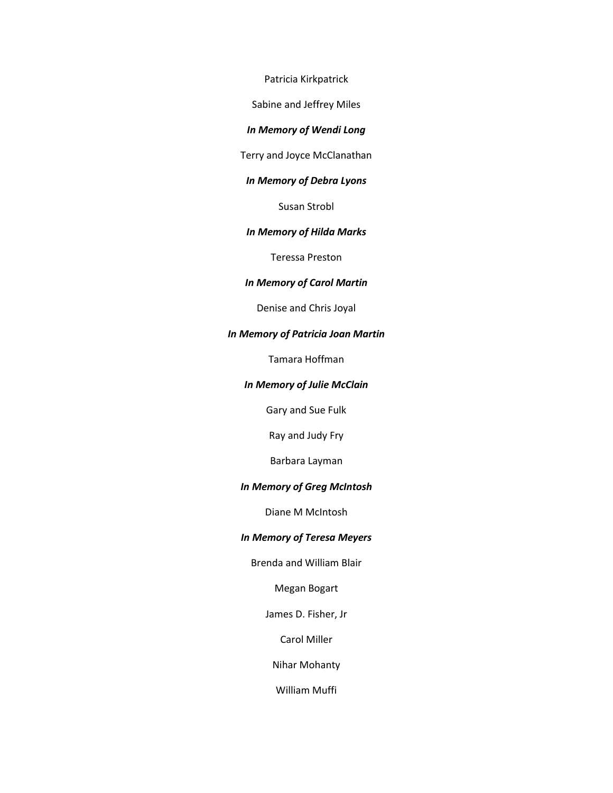Patricia Kirkpatrick

Sabine and Jeffrey Miles

## *In Memory of Wendi Long*

Terry and Joyce McClanathan

## *In Memory of Debra Lyons*

Susan Strobl

## *In Memory of Hilda Marks*

Teressa Preston

## *In Memory of Carol Martin*

Denise and Chris Joyal

## *In Memory of Patricia Joan Martin*

Tamara Hoffman

## *In Memory of Julie McClain*

Gary and Sue Fulk

Ray and Judy Fry

Barbara Layman

## *In Memory of Greg McIntosh*

Diane M McIntosh

## *In Memory of Teresa Meyers*

Brenda and William Blair

Megan Bogart

James D. Fisher, Jr

Carol Miller

Nihar Mohanty

William Muffi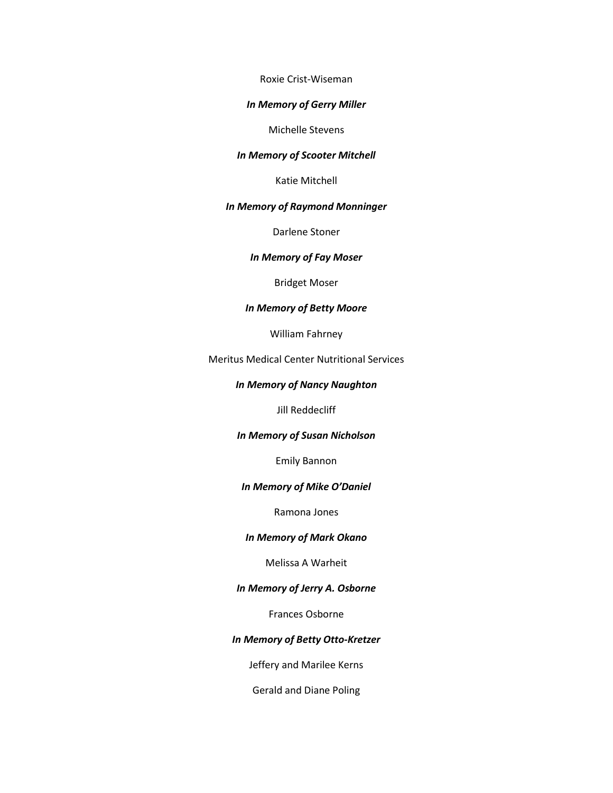Roxie Crist-Wiseman

### *In Memory of Gerry Miller*

Michelle Stevens

#### *In Memory of Scooter Mitchell*

Katie Mitchell

### *In Memory of Raymond Monninger*

Darlene Stoner

#### *In Memory of Fay Moser*

Bridget Moser

## *In Memory of Betty Moore*

William Fahrney

Meritus Medical Center Nutritional Services

## *In Memory of Nancy Naughton*

Jill Reddecliff

#### *In Memory of Susan Nicholson*

Emily Bannon

#### *In Memory of Mike O'Daniel*

Ramona Jones

#### *In Memory of Mark Okano*

Melissa A Warheit

## *In Memory of Jerry A. Osborne*

Frances Osborne

#### *In Memory of Betty Otto-Kretzer*

Jeffery and Marilee Kerns

Gerald and Diane Poling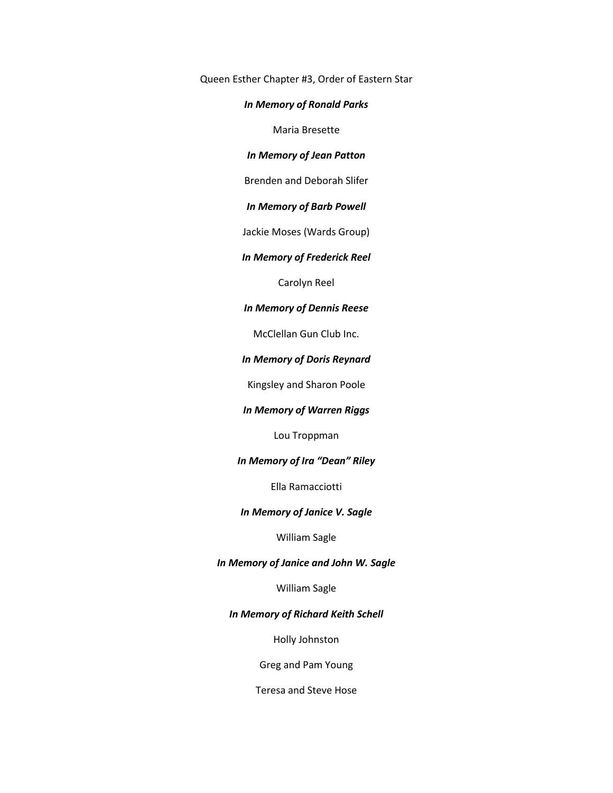Queen Esther Chapter #3, Order of Eastern Star

## *In Memory of Ronald Parks*

Maria Bresette

#### *In Memory of Jean Patton*

Brenden and Deborah Slifer

## *In Memory of Barb Powell*

Jackie Moses (Wards Group)

## *In Memory of Frederick Reel*

Carolyn Reel

## *In Memory of Dennis Reese*

McClellan Gun Club Inc.

## *In Memory of Doris Reynard*

Kingsley and Sharon Poole

## *In Memory of Warren Riggs*

Lou Troppman

## *In Memory of Ira "Dean" Riley*

Ella Ramacciotti

## *In Memory of Janice V. Sagle*

William Sagle

#### *In Memory of Janice and John W. Sagle*

William Sagle

## *In Memory of Richard Keith Schell*

Holly Johnston

Greg and Pam Young

Teresa and Steve Hose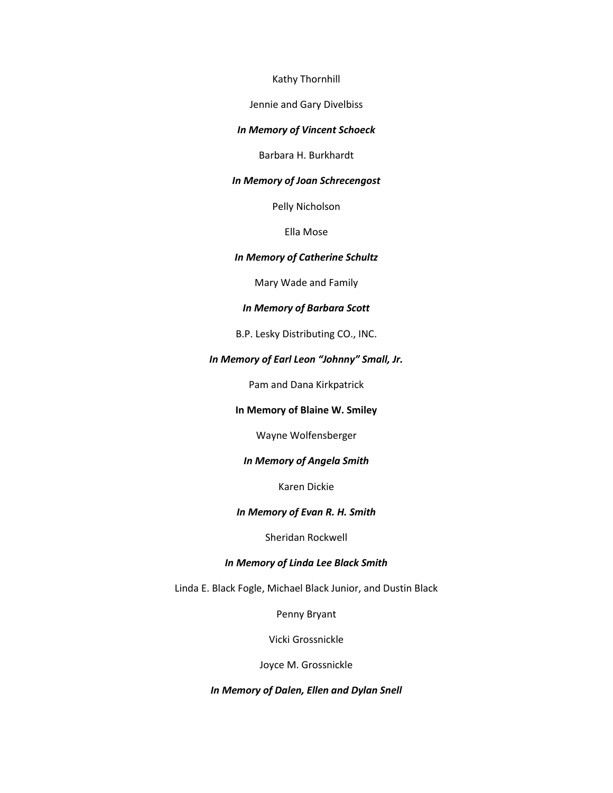Kathy Thornhill

Jennie and Gary Divelbiss

## *In Memory of Vincent Schoeck*

Barbara H. Burkhardt

## *In Memory of Joan Schrecengost*

Pelly Nicholson

Ella Mose

#### *In Memory of Catherine Schultz*

Mary Wade and Family

## *In Memory of Barbara Scott*

B.P. Lesky Distributing CO., INC.

## *In Memory of Earl Leon "Johnny" Small, Jr.*

Pam and Dana Kirkpatrick

## **In Memory of Blaine W. Smiley**

Wayne Wolfensberger

## *In Memory of Angela Smith*

Karen Dickie

## *In Memory of Evan R. H. Smith*

Sheridan Rockwell

## *In Memory of Linda Lee Black Smith*

Linda E. Black Fogle, Michael Black Junior, and Dustin Black

Penny Bryant

Vicki Grossnickle

Joyce M. Grossnickle

*In Memory of Dalen, Ellen and Dylan Snell*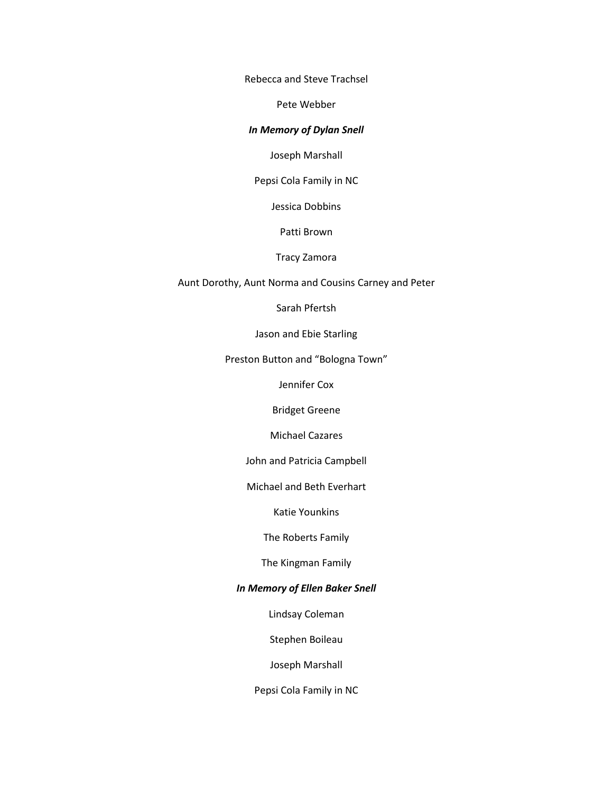Rebecca and Steve Trachsel

Pete Webber

## *In Memory of Dylan Snell*

Joseph Marshall

Pepsi Cola Family in NC

Jessica Dobbins

Patti Brown

#### Tracy Zamora

Aunt Dorothy, Aunt Norma and Cousins Carney and Peter

Sarah Pfertsh

Jason and Ebie Starling

Preston Button and "Bologna Town"

Jennifer Cox

Bridget Greene

Michael Cazares

John and Patricia Campbell

Michael and Beth Everhart

Katie Younkins

The Roberts Family

The Kingman Family

## *In Memory of Ellen Baker Snell*

Lindsay Coleman

Stephen Boileau

Joseph Marshall

Pepsi Cola Family in NC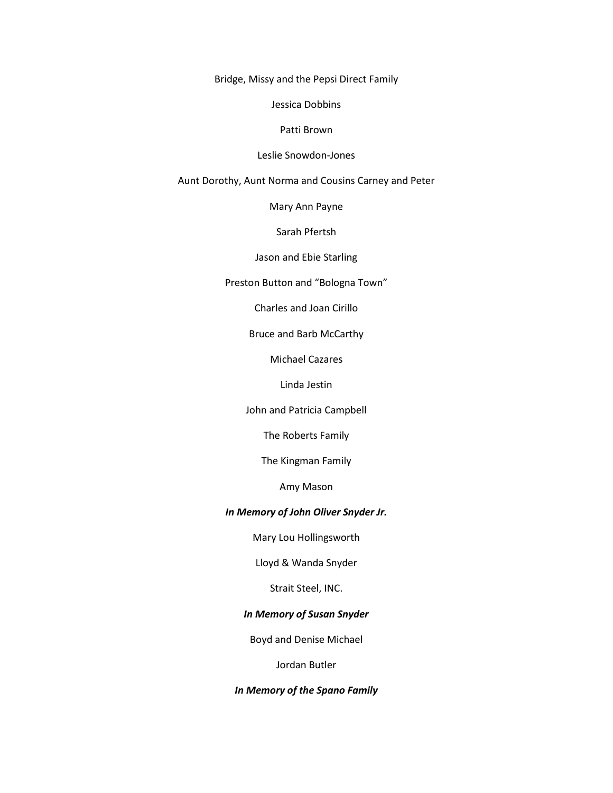Bridge, Missy and the Pepsi Direct Family

Jessica Dobbins

Patti Brown

#### Leslie Snowdon-Jones

Aunt Dorothy, Aunt Norma and Cousins Carney and Peter

Mary Ann Payne

Sarah Pfertsh

Jason and Ebie Starling

Preston Button and "Bologna Town"

Charles and Joan Cirillo

Bruce and Barb McCarthy

Michael Cazares

Linda Jestin

John and Patricia Campbell

The Roberts Family

The Kingman Family

Amy Mason

## *In Memory of John Oliver Snyder Jr.*

Mary Lou Hollingsworth

Lloyd & Wanda Snyder

Strait Steel, INC.

## *In Memory of Susan Snyder*

Boyd and Denise Michael

Jordan Butler

## *In Memory of the Spano Family*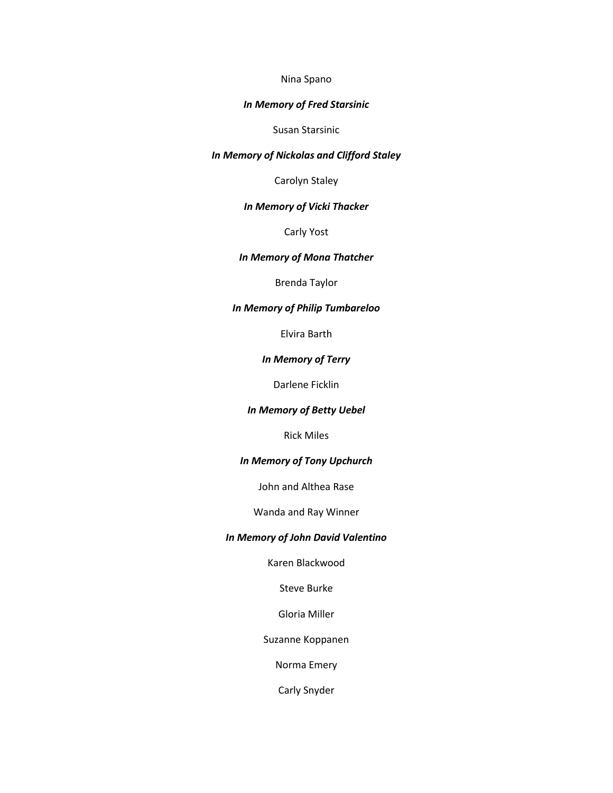#### Nina Spano

## *In Memory of Fred Starsinic*

Susan Starsinic

## *In Memory of Nickolas and Clifford Staley*

Carolyn Staley

## *In Memory of Vicki Thacker*

Carly Yost

## *In Memory of Mona Thatcher*

Brenda Taylor

## *In Memory of Philip Tumbareloo*

Elvira Barth

#### *In Memory of Terry*

Darlene Ficklin

## *In Memory of Betty Uebel*

Rick Miles

## *In Memory of Tony Upchurch*

John and Althea Rase

## Wanda and Ray Winner

#### *In Memory of John David Valentino*

Karen Blackwood

Steve Burke

Gloria Miller

Suzanne Koppanen

Norma Emery

Carly Snyder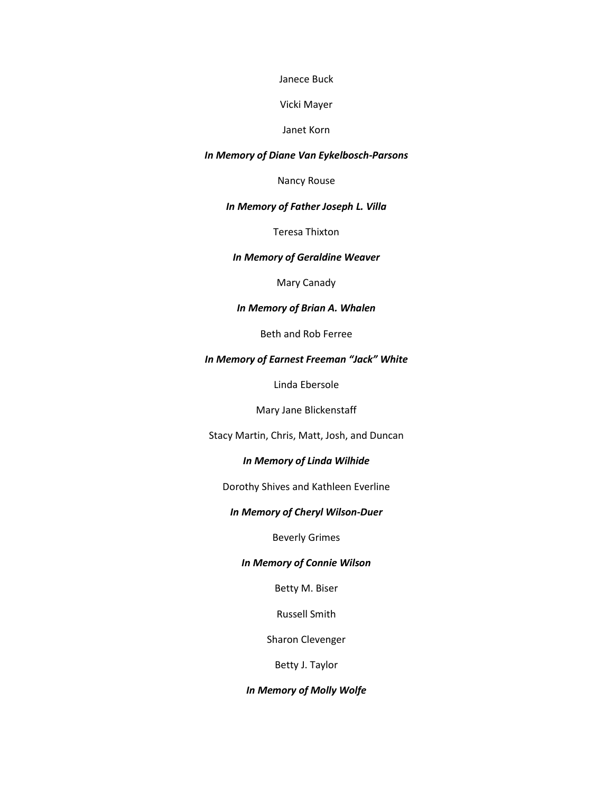Janece Buck

Vicki Mayer

Janet Korn

#### *In Memory of Diane Van Eykelbosch-Parsons*

Nancy Rouse

#### *In Memory of Father Joseph L. Villa*

Teresa Thixton

## *In Memory of Geraldine Weaver*

Mary Canady

## *In Memory of Brian A. Whalen*

Beth and Rob Ferree

## *In Memory of Earnest Freeman "Jack" White*

Linda Ebersole

Mary Jane Blickenstaff

Stacy Martin, Chris, Matt, Josh, and Duncan

## *In Memory of Linda Wilhide*

Dorothy Shives and Kathleen Everline

## *In Memory of Cheryl Wilson-Duer*

Beverly Grimes

#### *In Memory of Connie Wilson*

Betty M. Biser

Russell Smith

Sharon Clevenger

Betty J. Taylor

## *In Memory of Molly Wolfe*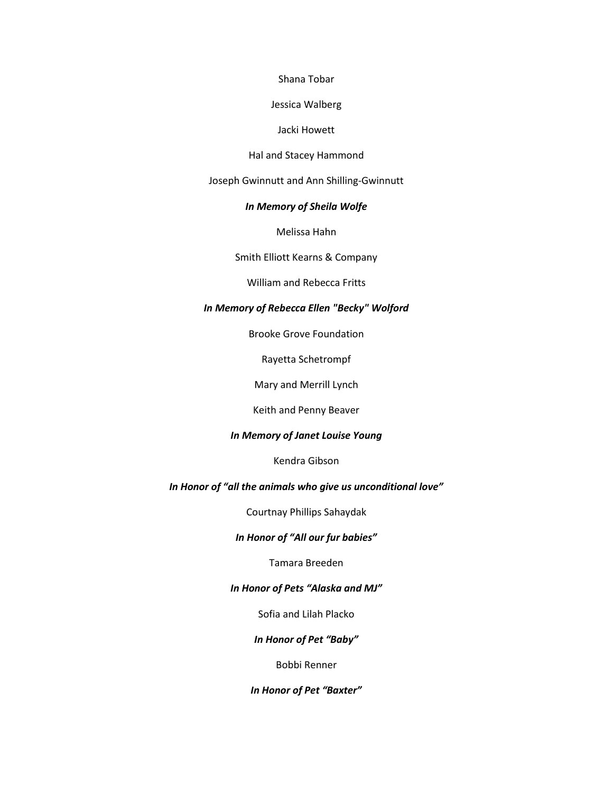Shana Tobar

Jessica Walberg

#### Jacki Howett

#### Hal and Stacey Hammond

Joseph Gwinnutt and Ann Shilling-Gwinnutt

## *In Memory of Sheila Wolfe*

Melissa Hahn

Smith Elliott Kearns & Company

William and Rebecca Fritts

## *In Memory of Rebecca Ellen "Becky" Wolford*

Brooke Grove Foundation

Rayetta Schetrompf

Mary and Merrill Lynch

Keith and Penny Beaver

### *In Memory of Janet Louise Young*

Kendra Gibson

## *In Honor of "all the animals who give us unconditional love"*

Courtnay Phillips Sahaydak

#### *In Honor of "All our fur babies"*

Tamara Breeden

## *In Honor of Pets "Alaska and MJ"*

Sofia and Lilah Placko

## *In Honor of Pet "Baby"*

Bobbi Renner

## *In Honor of Pet "Baxter"*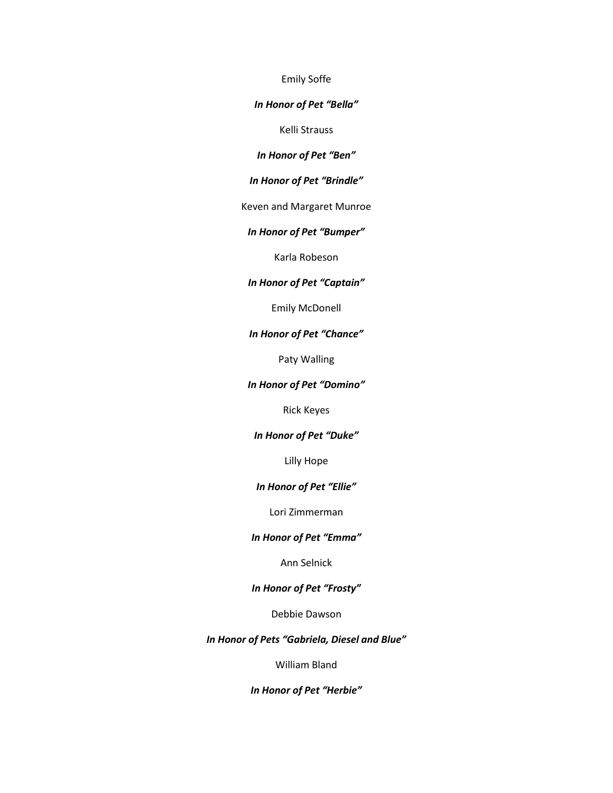Emily Soffe

*In Honor of Pet "Bella"*

Kelli Strauss

*In Honor of Pet "Ben"*

*In Honor of Pet "Brindle"*

Keven and Margaret Munroe

*In Honor of Pet "Bumper"*

Karla Robeson

## *In Honor of Pet "Captain"*

Emily McDonell

#### *In Honor of Pet "Chance"*

Paty Walling

## *In Honor of Pet "Domino"*

Rick Keyes

## *In Honor of Pet "Duke"*

Lilly Hope

#### *In Honor of Pet "Ellie"*

Lori Zimmerman

#### *In Honor of Pet "Emma"*

Ann Selnick

## *In Honor of Pet "Frosty"*

Debbie Dawson

## *In Honor of Pets "Gabriela, Diesel and Blue"*

William Bland

*In Honor of Pet "Herbie"*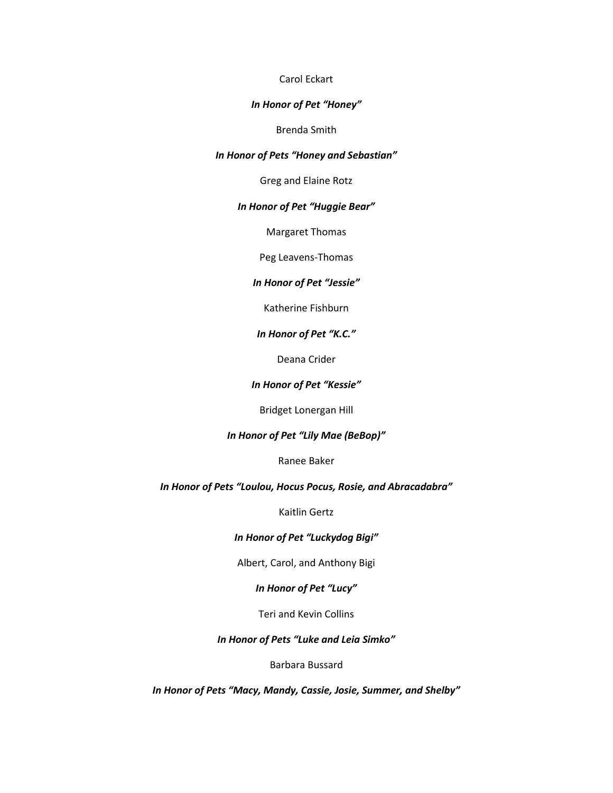## Carol Eckart

#### *In Honor of Pet "Honey"*

#### Brenda Smith

## *In Honor of Pets "Honey and Sebastian"*

Greg and Elaine Rotz

### *In Honor of Pet "Huggie Bear"*

Margaret Thomas

Peg Leavens-Thomas

### *In Honor of Pet "Jessie"*

Katherine Fishburn

### *In Honor of Pet "K.C."*

Deana Crider

### *In Honor of Pet "Kessie"*

Bridget Lonergan Hill

## *In Honor of Pet "Lily Mae (BeBop)"*

Ranee Baker

## *In Honor of Pets "Loulou, Hocus Pocus, Rosie, and Abracadabra"*

Kaitlin Gertz

## *In Honor of Pet "Luckydog Bigi"*

Albert, Carol, and Anthony Bigi

## *In Honor of Pet "Lucy"*

Teri and Kevin Collins

## *In Honor of Pets "Luke and Leia Simko"*

### Barbara Bussard

*In Honor of Pets "Macy, Mandy, Cassie, Josie, Summer, and Shelby"*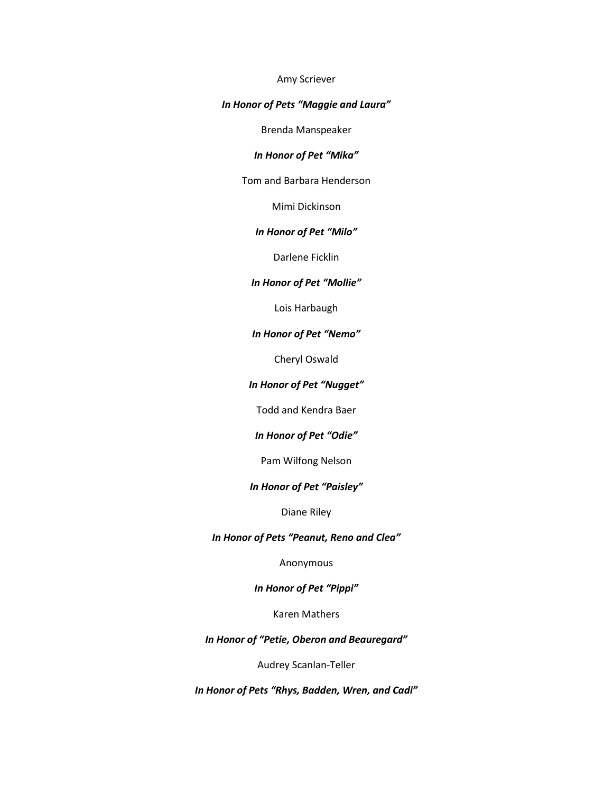#### Amy Scriever

## *In Honor of Pets "Maggie and Laura"*

Brenda Manspeaker

## *In Honor of Pet "Mika"*

Tom and Barbara Henderson

Mimi Dickinson

## *In Honor of Pet "Milo"*

Darlene Ficklin

#### *In Honor of Pet "Mollie"*

Lois Harbaugh

#### *In Honor of Pet "Nemo"*

Cheryl Oswald

#### *In Honor of Pet "Nugget"*

Todd and Kendra Baer

## *In Honor of Pet "Odie"*

Pam Wilfong Nelson

#### *In Honor of Pet "Paisley"*

Diane Riley

## *In Honor of Pets "Peanut, Reno and Clea"*

Anonymous

## *In Honor of Pet "Pippi"*

Karen Mathers

## *In Honor of "Petie, Oberon and Beauregard"*

Audrey Scanlan-Teller

*In Honor of Pets "Rhys, Badden, Wren, and Cadi"*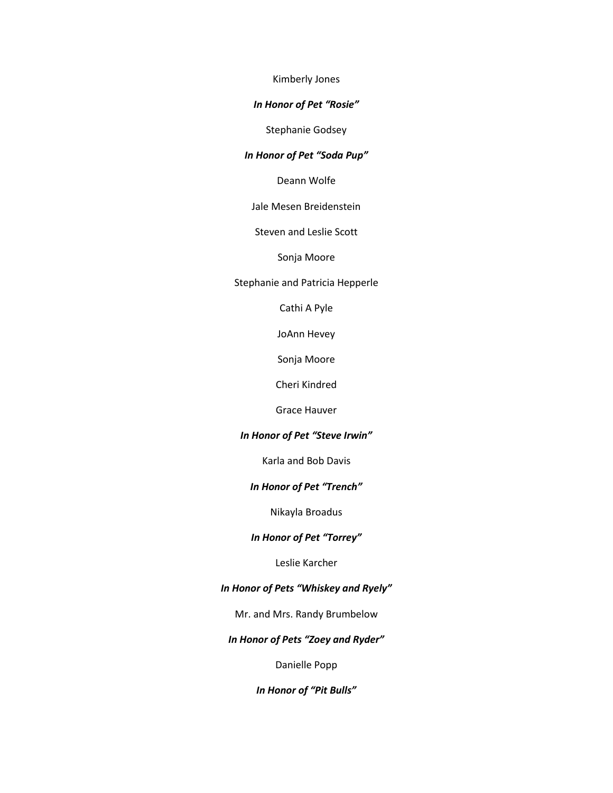Kimberly Jones

### *In Honor of Pet "Rosie"*

Stephanie Godsey

## *In Honor of Pet "Soda Pup"*

Deann Wolfe

Jale Mesen Breidenstein

Steven and Leslie Scott

Sonja Moore

Stephanie and Patricia Hepperle

Cathi A Pyle

JoAnn Hevey

Sonja Moore

Cheri Kindred

Grace Hauver

## *In Honor of Pet "Steve Irwin"*

Karla and Bob Davis

## *In Honor of Pet "Trench"*

Nikayla Broadus

#### *In Honor of Pet "Torrey"*

Leslie Karcher

## *In Honor of Pets "Whiskey and Ryely"*

Mr. and Mrs. Randy Brumbelow

## *In Honor of Pets "Zoey and Ryder"*

Danielle Popp

*In Honor of "Pit Bulls"*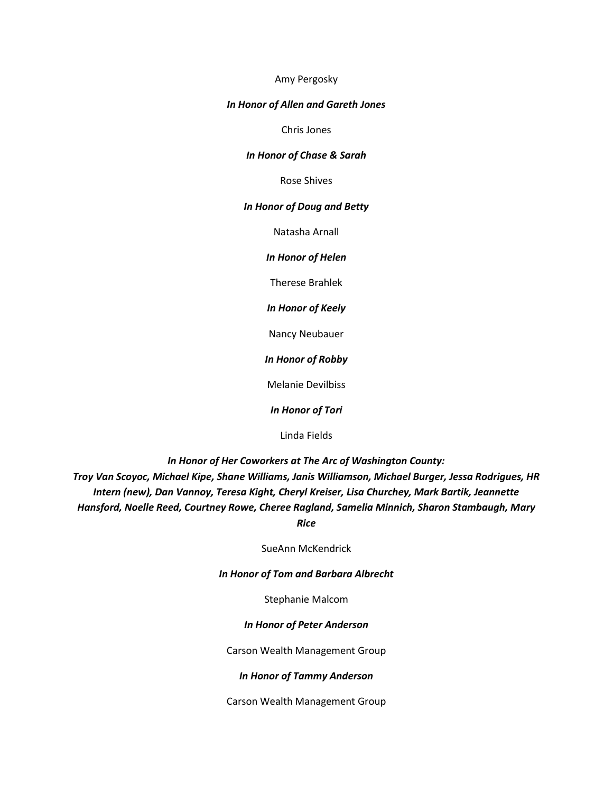#### Amy Pergosky

### *In Honor of Allen and Gareth Jones*

Chris Jones

#### *In Honor of Chase & Sarah*

Rose Shives

#### *In Honor of Doug and Betty*

Natasha Arnall

*In Honor of Helen*

Therese Brahlek

*In Honor of Keely*

Nancy Neubauer

*In Honor of Robby*

Melanie Devilbiss

*In Honor of Tori*

Linda Fields

*In Honor of Her Coworkers at The Arc of Washington County:* 

*Troy Van Scoyoc, Michael Kipe, Shane Williams, Janis Williamson, Michael Burger, Jessa Rodrigues, HR Intern (new), Dan Vannoy, Teresa Kight, Cheryl Kreiser, Lisa Churchey, Mark Bartik, Jeannette Hansford, Noelle Reed, Courtney Rowe, Cheree Ragland, Samelia Minnich, Sharon Stambaugh, Mary* 

*Rice*

SueAnn McKendrick

#### *In Honor of Tom and Barbara Albrecht*

Stephanie Malcom

## *In Honor of Peter Anderson*

Carson Wealth Management Group

### *In Honor of Tammy Anderson*

Carson Wealth Management Group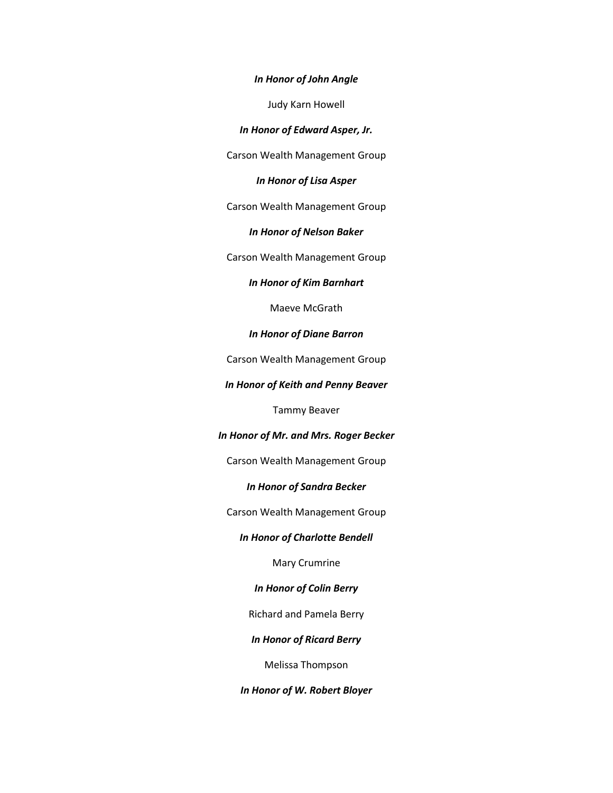#### *In Honor of John Angle*

Judy Karn Howell

*In Honor of Edward Asper, Jr.*

Carson Wealth Management Group

*In Honor of Lisa Asper*

Carson Wealth Management Group

*In Honor of Nelson Baker*

Carson Wealth Management Group

*In Honor of Kim Barnhart*

Maeve McGrath

*In Honor of Diane Barron*

Carson Wealth Management Group

*In Honor of Keith and Penny Beaver*

Tammy Beaver

*In Honor of Mr. and Mrs. Roger Becker*

Carson Wealth Management Group

*In Honor of Sandra Becker*

Carson Wealth Management Group

*In Honor of Charlotte Bendell*

Mary Crumrine

*In Honor of Colin Berry*

Richard and Pamela Berry

*In Honor of Ricard Berry*

Melissa Thompson

*In Honor of W. Robert Bloyer*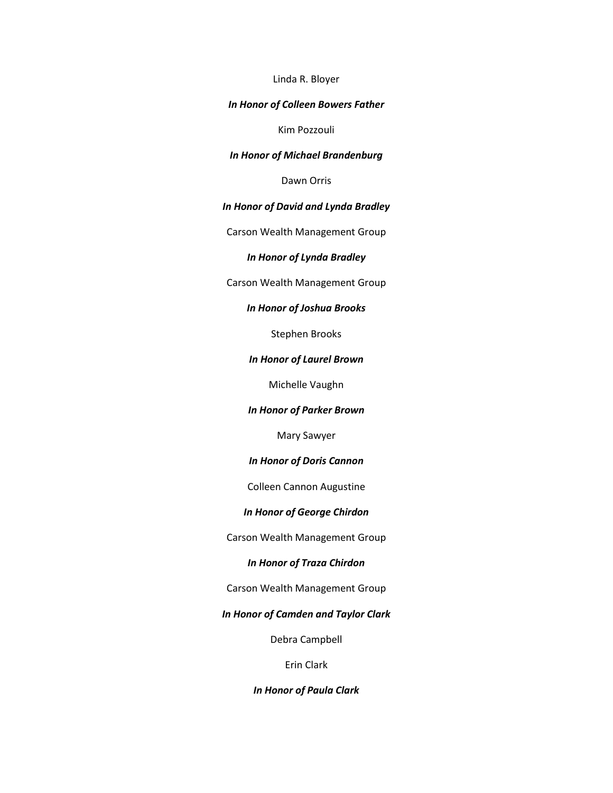#### Linda R. Bloyer

## *In Honor of Colleen Bowers Father*

Kim Pozzouli

#### *In Honor of Michael Brandenburg*

Dawn Orris

## *In Honor of David and Lynda Bradley*

Carson Wealth Management Group

#### *In Honor of Lynda Bradley*

Carson Wealth Management Group

## *In Honor of Joshua Brooks*

Stephen Brooks

#### *In Honor of Laurel Brown*

Michelle Vaughn

*In Honor of Parker Brown*

Mary Sawyer

#### *In Honor of Doris Cannon*

Colleen Cannon Augustine

## *In Honor of George Chirdon*

Carson Wealth Management Group

## *In Honor of Traza Chirdon*

Carson Wealth Management Group

## *In Honor of Camden and Taylor Clark*

Debra Campbell

## Erin Clark

#### *In Honor of Paula Clark*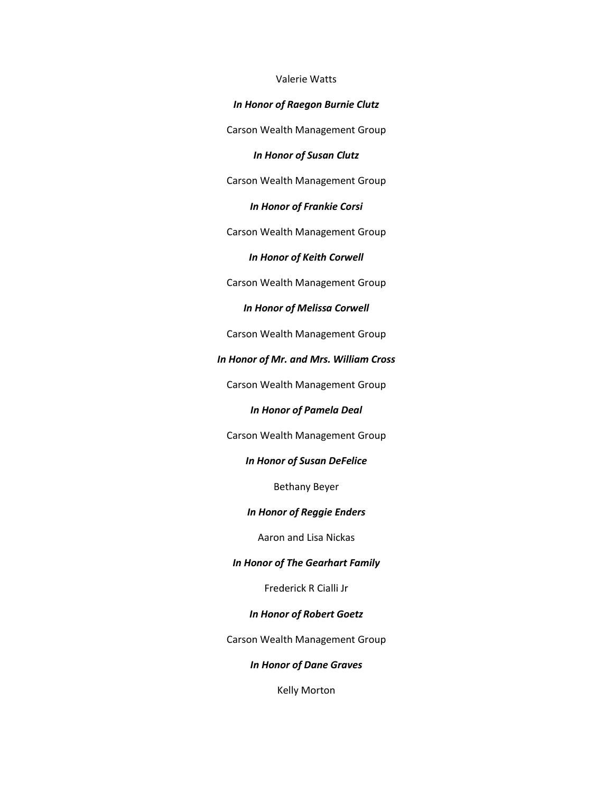## Valerie Watts

### *In Honor of Raegon Burnie Clutz*

Carson Wealth Management Group

#### *In Honor of Susan Clutz*

Carson Wealth Management Group

### *In Honor of Frankie Corsi*

Carson Wealth Management Group

*In Honor of Keith Corwell*

Carson Wealth Management Group

## *In Honor of Melissa Corwell*

Carson Wealth Management Group

## *In Honor of Mr. and Mrs. William Cross*

Carson Wealth Management Group

### *In Honor of Pamela Deal*

Carson Wealth Management Group

## *In Honor of Susan DeFelice*

Bethany Beyer

## *In Honor of Reggie Enders*

## Aaron and Lisa Nickas

#### *In Honor of The Gearhart Family*

Frederick R Cialli Jr

## *In Honor of Robert Goetz*

Carson Wealth Management Group

## *In Honor of Dane Graves*

Kelly Morton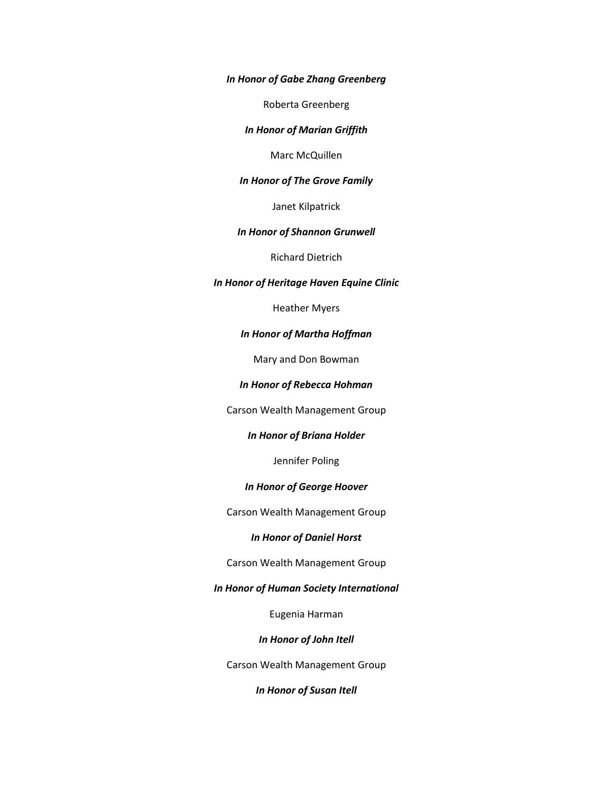*In Honor of Gabe Zhang Greenberg*

Roberta Greenberg

*In Honor of Marian Griffith*

Marc McQuillen

## *In Honor of The Grove Family*

Janet Kilpatrick

### *In Honor of Shannon Grunwell*

Richard Dietrich

### *In Honor of Heritage Haven Equine Clinic*

Heather Myers

## *In Honor of Martha Hoffman*

Mary and Don Bowman

#### *In Honor of Rebecca Hohman*

Carson Wealth Management Group

### *In Honor of Briana Holder*

Jennifer Poling

## *In Honor of George Hoover*

Carson Wealth Management Group

#### *In Honor of Daniel Horst*

#### Carson Wealth Management Group

#### *In Honor of Human Society International*

Eugenia Harman

#### *In Honor of John Itell*

Carson Wealth Management Group

## *In Honor of Susan Itell*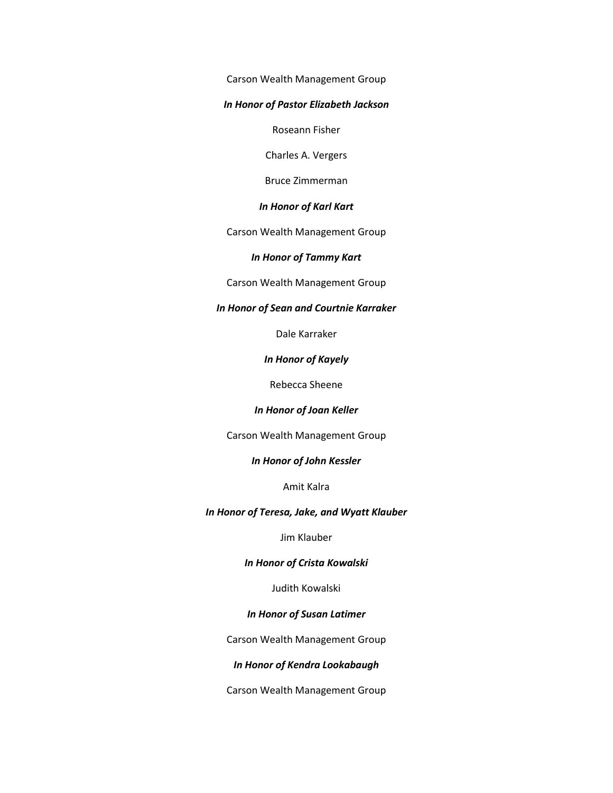Carson Wealth Management Group

#### *In Honor of Pastor Elizabeth Jackson*

Roseann Fisher

Charles A. Vergers

Bruce Zimmerman

### *In Honor of Karl Kart*

Carson Wealth Management Group

#### *In Honor of Tammy Kart*

Carson Wealth Management Group

## *In Honor of Sean and Courtnie Karraker*

Dale Karraker

*In Honor of Kayely*

Rebecca Sheene

#### *In Honor of Joan Keller*

Carson Wealth Management Group

#### *In Honor of John Kessler*

Amit Kalra

#### *In Honor of Teresa, Jake, and Wyatt Klauber*

Jim Klauber

## *In Honor of Crista Kowalski*

Judith Kowalski

## *In Honor of Susan Latimer*

Carson Wealth Management Group

## *In Honor of Kendra Lookabaugh*

Carson Wealth Management Group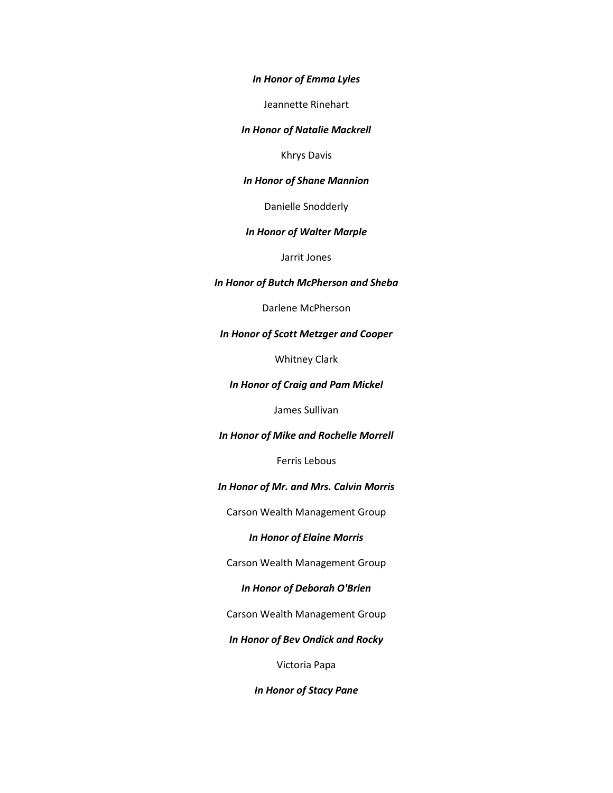*In Honor of Emma Lyles*

Jeannette Rinehart

*In Honor of Natalie Mackrell*

Khrys Davis

## *In Honor of Shane Mannion*

Danielle Snodderly

### *In Honor of Walter Marple*

Jarrit Jones

## *In Honor of Butch McPherson and Sheba*

Darlene McPherson

#### *In Honor of Scott Metzger and Cooper*

Whitney Clark

### *In Honor of Craig and Pam Mickel*

James Sullivan

#### *In Honor of Mike and Rochelle Morrell*

Ferris Lebous

#### *In Honor of Mr. and Mrs. Calvin Morris*

Carson Wealth Management Group

#### *In Honor of Elaine Morris*

Carson Wealth Management Group

## *In Honor of Deborah O'Brien*

Carson Wealth Management Group

*In Honor of Bev Ondick and Rocky*

Victoria Papa

*In Honor of Stacy Pane*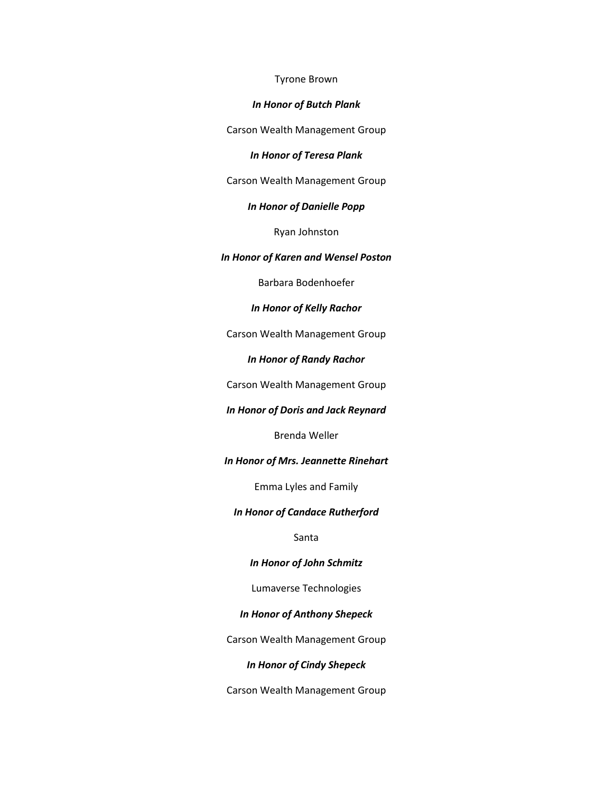#### Tyrone Brown

### *In Honor of Butch Plank*

Carson Wealth Management Group

#### *In Honor of Teresa Plank*

Carson Wealth Management Group

### *In Honor of Danielle Popp*

Ryan Johnston

#### *In Honor of Karen and Wensel Poston*

Barbara Bodenhoefer

## *In Honor of Kelly Rachor*

Carson Wealth Management Group

### *In Honor of Randy Rachor*

Carson Wealth Management Group

### *In Honor of Doris and Jack Reynard*

Brenda Weller

#### *In Honor of Mrs. Jeannette Rinehart*

Emma Lyles and Family

#### *In Honor of Candace Rutherford*

Santa

## *In Honor of John Schmitz*

Lumaverse Technologies

## *In Honor of Anthony Shepeck*

Carson Wealth Management Group

## *In Honor of Cindy Shepeck*

Carson Wealth Management Group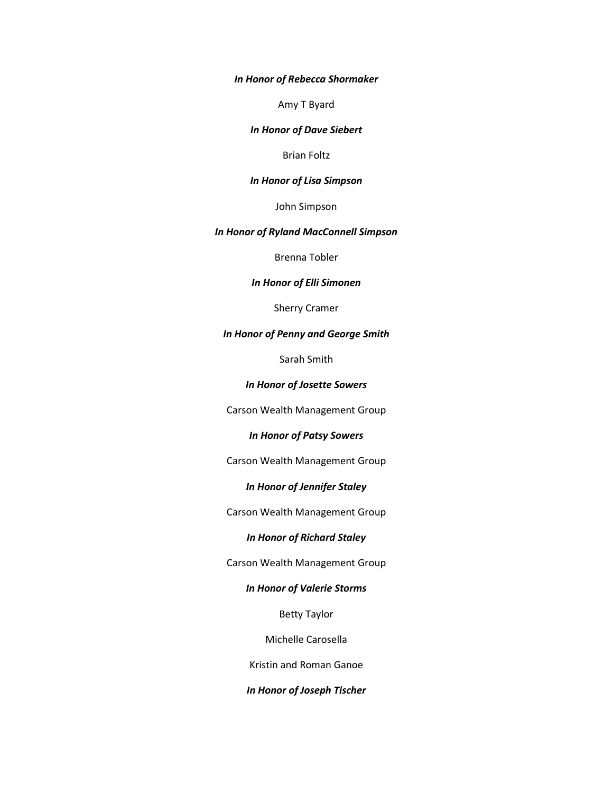*In Honor of Rebecca Shormaker*

Amy T Byard

#### *In Honor of Dave Siebert*

Brian Foltz

## *In Honor of Lisa Simpson*

John Simpson

## *In Honor of Ryland MacConnell Simpson*

Brenna Tobler

## *In Honor of Elli Simonen*

Sherry Cramer

### *In Honor of Penny and George Smith*

Sarah Smith

## *In Honor of Josette Sowers*

Carson Wealth Management Group

### *In Honor of Patsy Sowers*

Carson Wealth Management Group

## *In Honor of Jennifer Staley*

Carson Wealth Management Group

## *In Honor of Richard Staley*

Carson Wealth Management Group

## *In Honor of Valerie Storms*

Betty Taylor

Michelle Carosella

Kristin and Roman Ganoe

## *In Honor of Joseph Tischer*